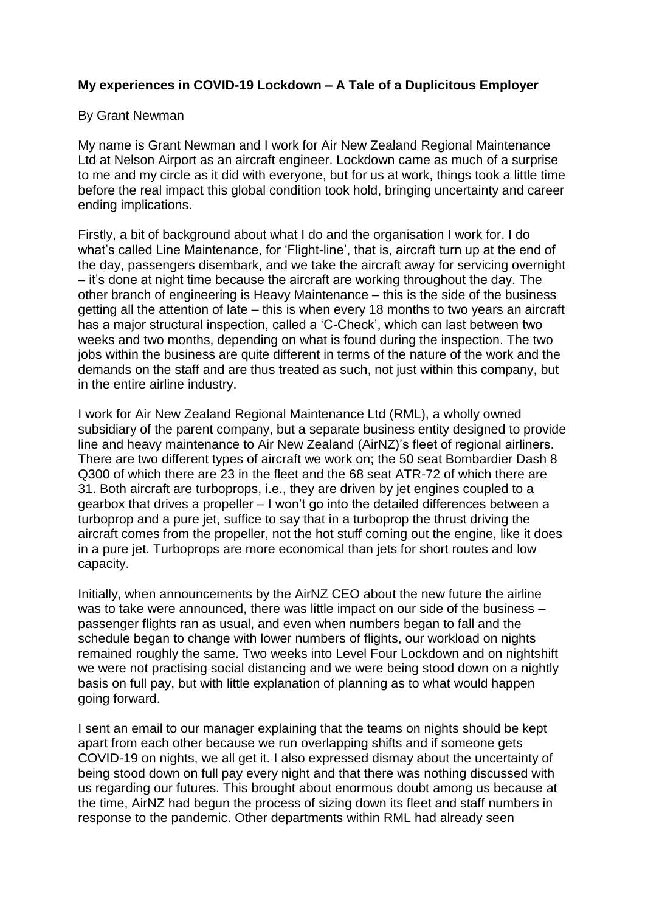## **My experiences in COVID-19 Lockdown – A Tale of a Duplicitous Employer**

## By Grant Newman

My name is Grant Newman and I work for Air New Zealand Regional Maintenance Ltd at Nelson Airport as an aircraft engineer. Lockdown came as much of a surprise to me and my circle as it did with everyone, but for us at work, things took a little time before the real impact this global condition took hold, bringing uncertainty and career ending implications.

Firstly, a bit of background about what I do and the organisation I work for. I do what's called Line Maintenance, for 'Flight-line', that is, aircraft turn up at the end of the day, passengers disembark, and we take the aircraft away for servicing overnight – it's done at night time because the aircraft are working throughout the day. The other branch of engineering is Heavy Maintenance – this is the side of the business getting all the attention of late – this is when every 18 months to two years an aircraft has a major structural inspection, called a 'C-Check', which can last between two weeks and two months, depending on what is found during the inspection. The two jobs within the business are quite different in terms of the nature of the work and the demands on the staff and are thus treated as such, not just within this company, but in the entire airline industry.

I work for Air New Zealand Regional Maintenance Ltd (RML), a wholly owned subsidiary of the parent company, but a separate business entity designed to provide line and heavy maintenance to Air New Zealand (AirNZ)'s fleet of regional airliners. There are two different types of aircraft we work on; the 50 seat Bombardier Dash 8 Q300 of which there are 23 in the fleet and the 68 seat ATR-72 of which there are 31. Both aircraft are turboprops, i.e., they are driven by jet engines coupled to a gearbox that drives a propeller – I won't go into the detailed differences between a turboprop and a pure jet, suffice to say that in a turboprop the thrust driving the aircraft comes from the propeller, not the hot stuff coming out the engine, like it does in a pure jet. Turboprops are more economical than jets for short routes and low capacity.

Initially, when announcements by the AirNZ CEO about the new future the airline was to take were announced, there was little impact on our side of the business – passenger flights ran as usual, and even when numbers began to fall and the schedule began to change with lower numbers of flights, our workload on nights remained roughly the same. Two weeks into Level Four Lockdown and on nightshift we were not practising social distancing and we were being stood down on a nightly basis on full pay, but with little explanation of planning as to what would happen going forward.

I sent an email to our manager explaining that the teams on nights should be kept apart from each other because we run overlapping shifts and if someone gets COVID-19 on nights, we all get it. I also expressed dismay about the uncertainty of being stood down on full pay every night and that there was nothing discussed with us regarding our futures. This brought about enormous doubt among us because at the time, AirNZ had begun the process of sizing down its fleet and staff numbers in response to the pandemic. Other departments within RML had already seen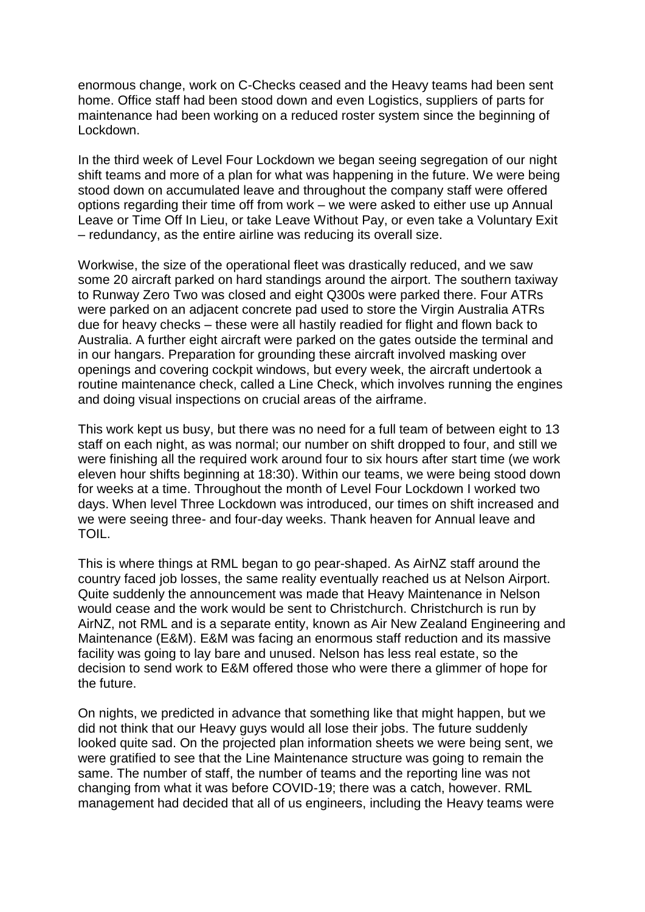enormous change, work on C-Checks ceased and the Heavy teams had been sent home. Office staff had been stood down and even Logistics, suppliers of parts for maintenance had been working on a reduced roster system since the beginning of Lockdown.

In the third week of Level Four Lockdown we began seeing segregation of our night shift teams and more of a plan for what was happening in the future. We were being stood down on accumulated leave and throughout the company staff were offered options regarding their time off from work – we were asked to either use up Annual Leave or Time Off In Lieu, or take Leave Without Pay, or even take a Voluntary Exit – redundancy, as the entire airline was reducing its overall size.

Workwise, the size of the operational fleet was drastically reduced, and we saw some 20 aircraft parked on hard standings around the airport. The southern taxiway to Runway Zero Two was closed and eight Q300s were parked there. Four ATRs were parked on an adjacent concrete pad used to store the Virgin Australia ATRs due for heavy checks – these were all hastily readied for flight and flown back to Australia. A further eight aircraft were parked on the gates outside the terminal and in our hangars. Preparation for grounding these aircraft involved masking over openings and covering cockpit windows, but every week, the aircraft undertook a routine maintenance check, called a Line Check, which involves running the engines and doing visual inspections on crucial areas of the airframe.

This work kept us busy, but there was no need for a full team of between eight to 13 staff on each night, as was normal; our number on shift dropped to four, and still we were finishing all the required work around four to six hours after start time (we work eleven hour shifts beginning at 18:30). Within our teams, we were being stood down for weeks at a time. Throughout the month of Level Four Lockdown I worked two days. When level Three Lockdown was introduced, our times on shift increased and we were seeing three- and four-day weeks. Thank heaven for Annual leave and TOIL.

This is where things at RML began to go pear-shaped. As AirNZ staff around the country faced job losses, the same reality eventually reached us at Nelson Airport. Quite suddenly the announcement was made that Heavy Maintenance in Nelson would cease and the work would be sent to Christchurch. Christchurch is run by AirNZ, not RML and is a separate entity, known as Air New Zealand Engineering and Maintenance (E&M). E&M was facing an enormous staff reduction and its massive facility was going to lay bare and unused. Nelson has less real estate, so the decision to send work to E&M offered those who were there a glimmer of hope for the future.

On nights, we predicted in advance that something like that might happen, but we did not think that our Heavy guys would all lose their jobs. The future suddenly looked quite sad. On the projected plan information sheets we were being sent, we were gratified to see that the Line Maintenance structure was going to remain the same. The number of staff, the number of teams and the reporting line was not changing from what it was before COVID-19; there was a catch, however. RML management had decided that all of us engineers, including the Heavy teams were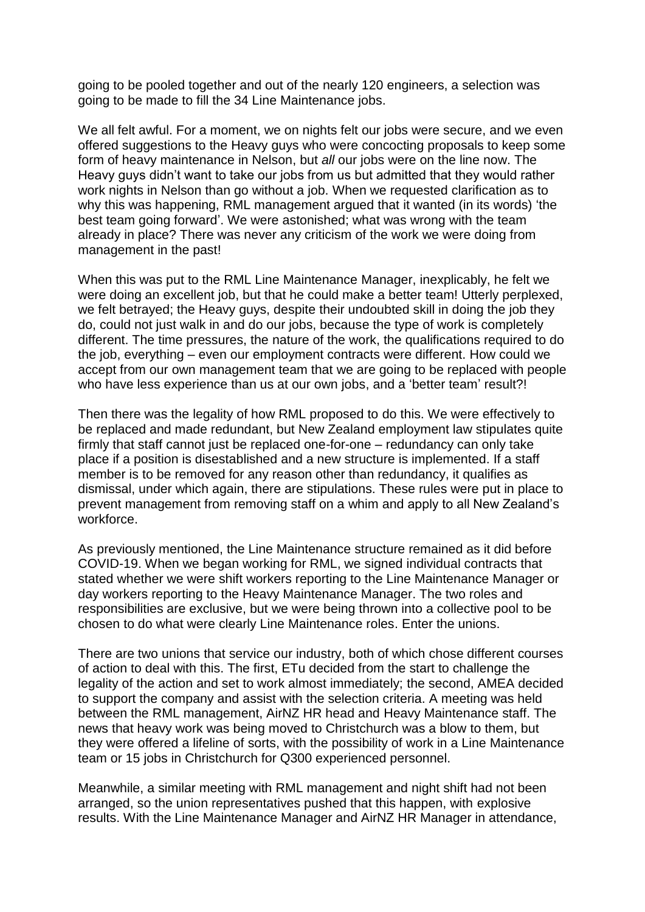going to be pooled together and out of the nearly 120 engineers, a selection was going to be made to fill the 34 Line Maintenance jobs.

We all felt awful. For a moment, we on nights felt our jobs were secure, and we even offered suggestions to the Heavy guys who were concocting proposals to keep some form of heavy maintenance in Nelson, but *all* our jobs were on the line now. The Heavy guys didn't want to take our jobs from us but admitted that they would rather work nights in Nelson than go without a job. When we requested clarification as to why this was happening, RML management argued that it wanted (in its words) 'the best team going forward'. We were astonished; what was wrong with the team already in place? There was never any criticism of the work we were doing from management in the past!

When this was put to the RML Line Maintenance Manager, inexplicably, he felt we were doing an excellent job, but that he could make a better team! Utterly perplexed, we felt betrayed; the Heavy guys, despite their undoubted skill in doing the job they do, could not just walk in and do our jobs, because the type of work is completely different. The time pressures, the nature of the work, the qualifications required to do the job, everything – even our employment contracts were different. How could we accept from our own management team that we are going to be replaced with people who have less experience than us at our own jobs, and a 'better team' result?!

Then there was the legality of how RML proposed to do this. We were effectively to be replaced and made redundant, but New Zealand employment law stipulates quite firmly that staff cannot just be replaced one-for-one – redundancy can only take place if a position is disestablished and a new structure is implemented. If a staff member is to be removed for any reason other than redundancy, it qualifies as dismissal, under which again, there are stipulations. These rules were put in place to prevent management from removing staff on a whim and apply to all New Zealand's workforce.

As previously mentioned, the Line Maintenance structure remained as it did before COVID-19. When we began working for RML, we signed individual contracts that stated whether we were shift workers reporting to the Line Maintenance Manager or day workers reporting to the Heavy Maintenance Manager. The two roles and responsibilities are exclusive, but we were being thrown into a collective pool to be chosen to do what were clearly Line Maintenance roles. Enter the unions.

There are two unions that service our industry, both of which chose different courses of action to deal with this. The first, ETu decided from the start to challenge the legality of the action and set to work almost immediately; the second, AMEA decided to support the company and assist with the selection criteria. A meeting was held between the RML management, AirNZ HR head and Heavy Maintenance staff. The news that heavy work was being moved to Christchurch was a blow to them, but they were offered a lifeline of sorts, with the possibility of work in a Line Maintenance team or 15 jobs in Christchurch for Q300 experienced personnel.

Meanwhile, a similar meeting with RML management and night shift had not been arranged, so the union representatives pushed that this happen, with explosive results. With the Line Maintenance Manager and AirNZ HR Manager in attendance,